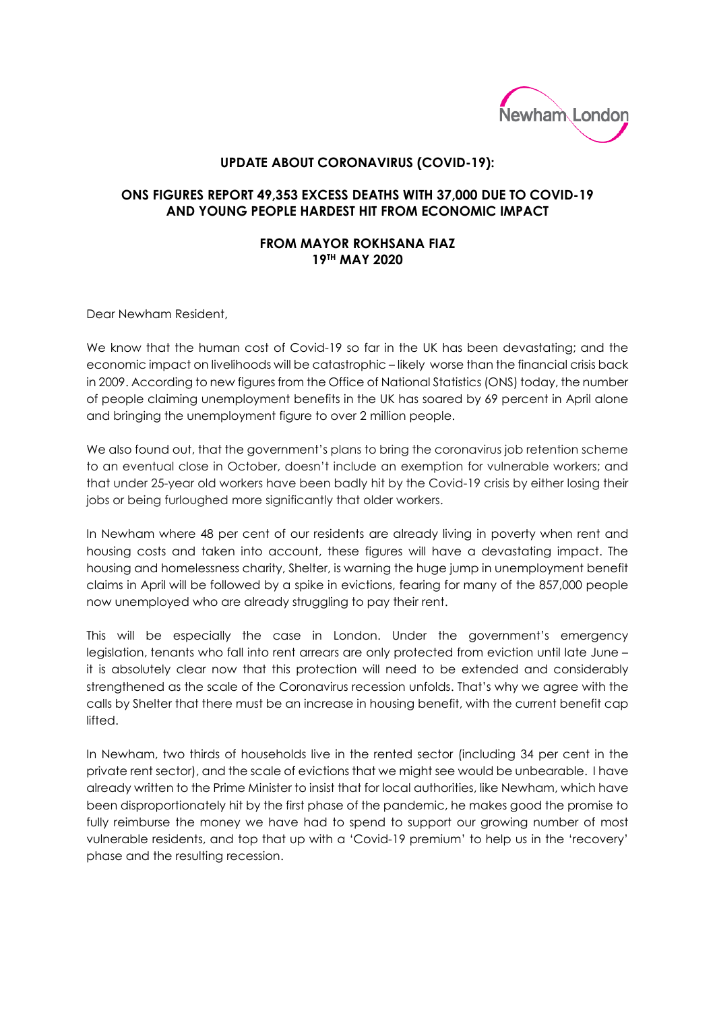

## **UPDATE ABOUT CORONAVIRUS (COVID-19):**

## **ONS FIGURES REPORT 49,353 EXCESS DEATHS WITH 37,000 DUE TO COVID-19 AND YOUNG PEOPLE HARDEST HIT FROM ECONOMIC IMPACT**

## **FROM MAYOR ROKHSANA FIAZ 19TH MAY 2020**

Dear Newham Resident,

We know that the human cost of Covid-19 so far in the UK has been devastating; and the economic impact on livelihoods will be catastrophic – likely worse than the financial crisis back in 2009. According to new figures from the Office of National Statistics (ONS) today, the number of people claiming unemployment benefits in the UK has soared by 69 percent in April alone and bringing the unemployment figure to over 2 million people.

We also found out, that the government's plans to bring the coronavirus job retention scheme to an eventual close in October, doesn't include an exemption for vulnerable workers; and that under 25-year old workers have been badly hit by the Covid-19 crisis by either losing their jobs or being furloughed more significantly that older workers.

In Newham where 48 per cent of our residents are already living in poverty when rent and housing costs and taken into account, these figures will have a devastating impact. The housing and homelessness charity, Shelter, is warning [the huge jump in unemployment benefit](https://www.theguardian.com/business/live/2020/may/19/uk-unemployment-benefits-claimant-count-covid-19-lockdown-economy-hits-economy-business-live?page=with:block-5ec372058f0886ce4f5d6214#block-5ec372058f0886ce4f5d6214)  [claims in April](https://www.theguardian.com/business/live/2020/may/19/uk-unemployment-benefits-claimant-count-covid-19-lockdown-economy-hits-economy-business-live?page=with:block-5ec372058f0886ce4f5d6214#block-5ec372058f0886ce4f5d6214) will be followed by a spike in evictions, fearing for many of the 857,000 people now unemployed who are already struggling to pay their rent.

This will be especially the case in London. Under the government's emergency legislation, [tenants who fall into rent arrears are only protected from eviction until late June](https://wearecitizensadvice.org.uk/why-the-next-6-weeks-are-crucial-for-renters-2385e81bdf98?gi=8268496ca532) – it is absolutely clear now that this protection will need to be extended and considerably strengthened as the scale of the Coronavirus recession unfolds. That's why we agree with the calls by Shelter that there must be an increase in housing benefit, with the current benefit cap lifted.

In Newham, two thirds of households live in the rented sector (including 34 per cent in the private rent sector), and the scale of evictions that we might see would be unbearable. I have already written to the Prime Minister to insist that for local authorities, like Newham, which have been disproportionately hit by the first phase of the pandemic, he makes good the promise to fully reimburse the money we have had to spend to support our growing number of most vulnerable residents, and top that up with a 'Covid-19 premium' to help us in the 'recovery' phase and the resulting recession.